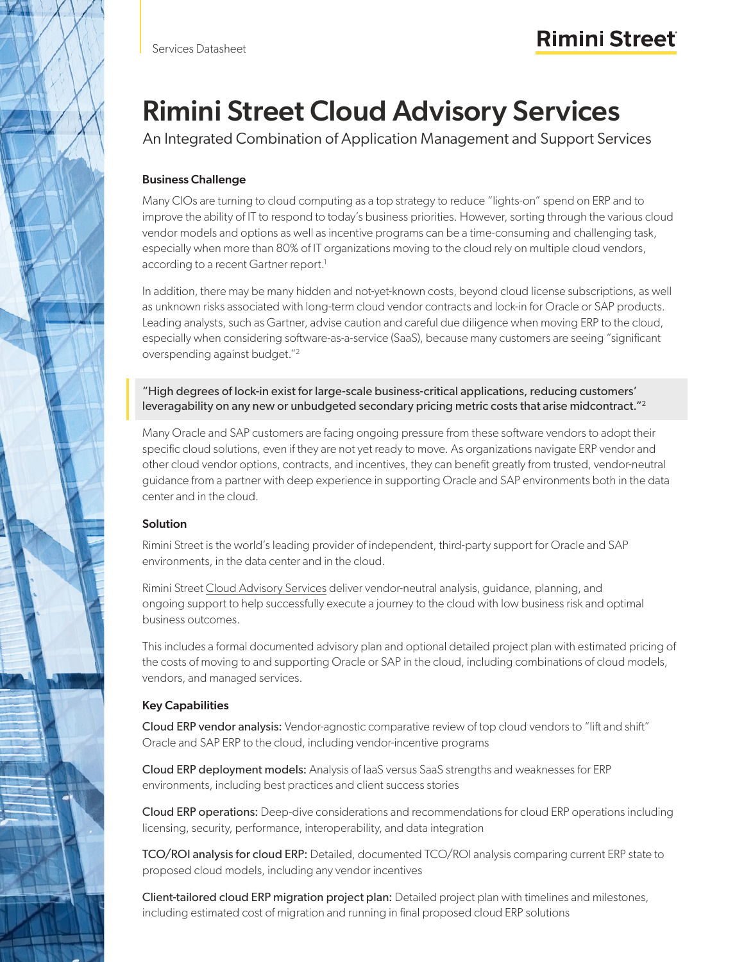# Rimini Street Cloud Advisory Services

An Integrated Combination of Application Management and Support Services

# Business Challenge

Many CIOs are turning to cloud computing as a top strategy to reduce "lights-on" spend on ERP and to improve the ability of IT to respond to today's business priorities. However, sorting through the various cloud vendor models and options as well as incentive programs can be a time-consuming and challenging task, especially when more than 80% of IT organizations moving to the cloud rely on multiple cloud vendors, according to a recent Gartner report.<sup>1</sup>

In addition, there may be many hidden and not-yet-known costs, beyond cloud license subscriptions, as well as unknown risks associated with long-term cloud vendor contracts and lock-in for Oracle or SAP products. Leading analysts, such as Gartner, advise caution and careful due diligence when moving ERP to the cloud, especially when considering software-as-a-service (SaaS), because many customers are seeing "significant overspending against budget."2

"High degrees of lock-in exist for large-scale business-critical applications, reducing customers' leveragability on any new or unbudgeted secondary pricing metric costs that arise midcontract."<sup>2</sup>

Many Oracle and SAP customers are facing ongoing pressure from these software vendors to adopt their specific cloud solutions, even if they are not yet ready to move. As organizations navigate ERP vendor and other cloud vendor options, contracts, and incentives, they can benefit greatly from trusted, vendor-neutral guidance from a partner with deep experience in supporting Oracle and SAP environments both in the data center and in the cloud.

# **Solution**

Rimini Street is the world's leading provider of independent, third-party support for Oracle and SAP environments, in the data center and in the cloud.

Rimini Street [Cloud Advisory Services](https://www.riministreet.com/solutions/support-services/cloud/) deliver vendor-neutral analysis, guidance, planning, and ongoing support to help successfully execute a journey to the cloud with low business risk and optimal business outcomes.

This includes a formal documented advisory plan and optional detailed project plan with estimated pricing of the costs of moving to and supporting Oracle or SAP in the cloud, including combinations of cloud models, vendors, and managed services.

# Key Capabilities

Cloud ERP vendor analysis: Vendor-agnostic comparative review of top cloud vendors to "lift and shift" Oracle and SAP ERP to the cloud, including vendor-incentive programs

Cloud ERP deployment models: Analysis of IaaS versus SaaS strengths and weaknesses for ERP environments, including best practices and client success stories

Cloud ERP operations: Deep-dive considerations and recommendations for cloud ERP operations including licensing, security, performance, interoperability, and data integration

TCO/ROI analysis for cloud ERP: Detailed, documented TCO/ROI analysis comparing current ERP state to proposed cloud models, including any vendor incentives

Client-tailored cloud ERP migration project plan: Detailed project plan with timelines and milestones, including estimated cost of migration and running in final proposed cloud ERP solutions